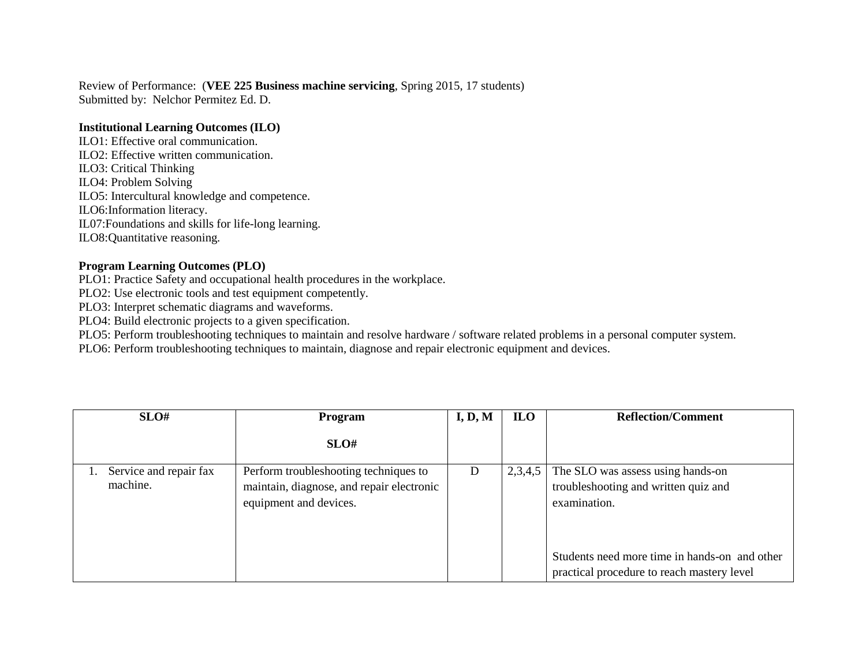Review of Performance: (**VEE 225 Business machine servicing**, Spring 2015, 17 students) Submitted by: Nelchor Permitez Ed. D.

## **Institutional Learning Outcomes (ILO)**

ILO1: Effective oral communication. ILO2: Effective written communication. ILO3: Critical Thinking ILO4: Problem Solving ILO5: Intercultural knowledge and competence. ILO6:Information literacy. IL07:Foundations and skills for life-long learning. ILO8:Quantitative reasoning.

## **Program Learning Outcomes (PLO)**

PLO1: Practice Safety and occupational health procedures in the workplace.

PLO2: Use electronic tools and test equipment competently.

PLO3: Interpret schematic diagrams and waveforms.

PLO4: Build electronic projects to a given specification.

PLO5: Perform troubleshooting techniques to maintain and resolve hardware / software related problems in a personal computer system.

PLO6: Perform troubleshooting techniques to maintain, diagnose and repair electronic equipment and devices.

| SLO#                               | <b>Program</b>                                                                                               | I, D, M | <b>ILO</b> | <b>Reflection/Comment</b>                                                                   |  |
|------------------------------------|--------------------------------------------------------------------------------------------------------------|---------|------------|---------------------------------------------------------------------------------------------|--|
|                                    | SLO#                                                                                                         |         |            |                                                                                             |  |
| Service and repair fax<br>machine. | Perform troubleshooting techniques to<br>maintain, diagnose, and repair electronic<br>equipment and devices. | D       | 2,3,4,5    | The SLO was assess using hands-on<br>troubleshooting and written quiz and<br>examination.   |  |
|                                    |                                                                                                              |         |            | Students need more time in hands-on and other<br>practical procedure to reach mastery level |  |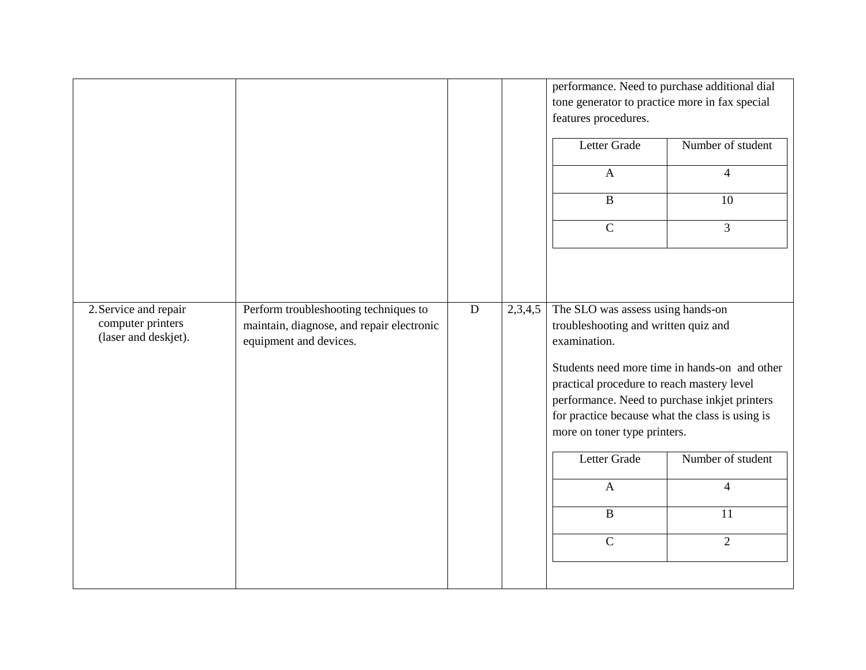|                                           |                                                                     |           |         | performance. Need to purchase additional dial<br>tone generator to practice more in fax special<br>features procedures. |                                               |
|-------------------------------------------|---------------------------------------------------------------------|-----------|---------|-------------------------------------------------------------------------------------------------------------------------|-----------------------------------------------|
|                                           |                                                                     |           |         | Letter Grade                                                                                                            | Number of student                             |
|                                           |                                                                     |           |         | $\mathbf{A}$                                                                                                            | $\overline{4}$                                |
|                                           |                                                                     |           |         | $\, {\bf B}$                                                                                                            | 10                                            |
|                                           |                                                                     |           |         | $\overline{C}$                                                                                                          | $\overline{3}$                                |
|                                           |                                                                     |           |         |                                                                                                                         |                                               |
|                                           |                                                                     |           |         |                                                                                                                         |                                               |
| 2. Service and repair                     | Perform troubleshooting techniques to                               | ${\bf D}$ | 2,3,4,5 | The SLO was assess using hands-on                                                                                       |                                               |
| computer printers<br>(laser and deskjet). | maintain, diagnose, and repair electronic<br>equipment and devices. |           |         | troubleshooting and written quiz and<br>examination.                                                                    |                                               |
|                                           |                                                                     |           |         |                                                                                                                         | Students need more time in hands-on and other |
|                                           |                                                                     |           |         | practical procedure to reach mastery level                                                                              |                                               |
|                                           |                                                                     |           |         | performance. Need to purchase inkjet printers                                                                           |                                               |
|                                           |                                                                     |           |         | for practice because what the class is using is<br>more on toner type printers.                                         |                                               |
|                                           |                                                                     |           |         | Letter Grade                                                                                                            | Number of student                             |
|                                           |                                                                     |           |         | $\mathbf{A}$                                                                                                            | $\overline{4}$                                |
|                                           |                                                                     |           |         | $\, {\bf B}$                                                                                                            | 11                                            |
|                                           |                                                                     |           |         | $\overline{C}$                                                                                                          | $\overline{2}$                                |
|                                           |                                                                     |           |         |                                                                                                                         |                                               |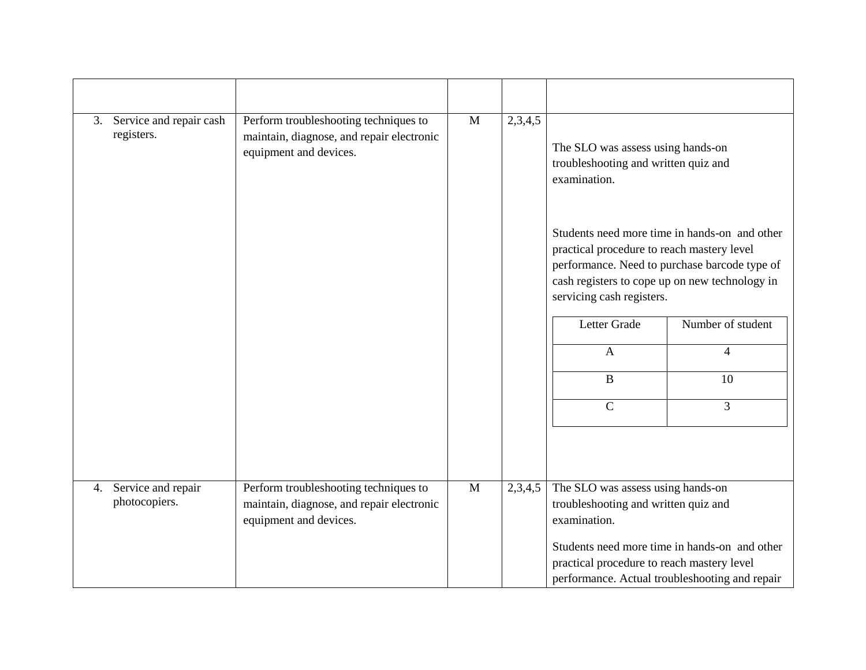|    | 3. Service and repair cash<br>registers. | Perform troubleshooting techniques to<br>maintain, diagnose, and repair electronic<br>equipment and devices. | $\mathbf{M}$ | 2,3,4,5 | The SLO was assess using hands-on<br>troubleshooting and written quiz and<br>examination.                                                     |                                                                                                                                                  |  |
|----|------------------------------------------|--------------------------------------------------------------------------------------------------------------|--------------|---------|-----------------------------------------------------------------------------------------------------------------------------------------------|--------------------------------------------------------------------------------------------------------------------------------------------------|--|
|    |                                          |                                                                                                              |              |         | practical procedure to reach mastery level<br>servicing cash registers.                                                                       | Students need more time in hands-on and other<br>performance. Need to purchase barcode type of<br>cash registers to cope up on new technology in |  |
|    |                                          |                                                                                                              |              |         | Letter Grade                                                                                                                                  | Number of student                                                                                                                                |  |
|    |                                          |                                                                                                              |              |         | $\mathbf{A}$                                                                                                                                  | 4                                                                                                                                                |  |
|    |                                          |                                                                                                              |              |         | $\, {\bf B}$                                                                                                                                  | 10                                                                                                                                               |  |
|    |                                          |                                                                                                              |              |         | $\mathbf C$                                                                                                                                   | 3                                                                                                                                                |  |
|    |                                          |                                                                                                              |              |         |                                                                                                                                               |                                                                                                                                                  |  |
| 4. | Service and repair<br>photocopiers.      | Perform troubleshooting techniques to<br>maintain, diagnose, and repair electronic<br>equipment and devices. |              | 2,3,4,5 | The SLO was assess using hands-on<br>troubleshooting and written quiz and<br>examination.                                                     |                                                                                                                                                  |  |
|    |                                          |                                                                                                              |              |         | Students need more time in hands-on and other<br>practical procedure to reach mastery level<br>performance. Actual troubleshooting and repair |                                                                                                                                                  |  |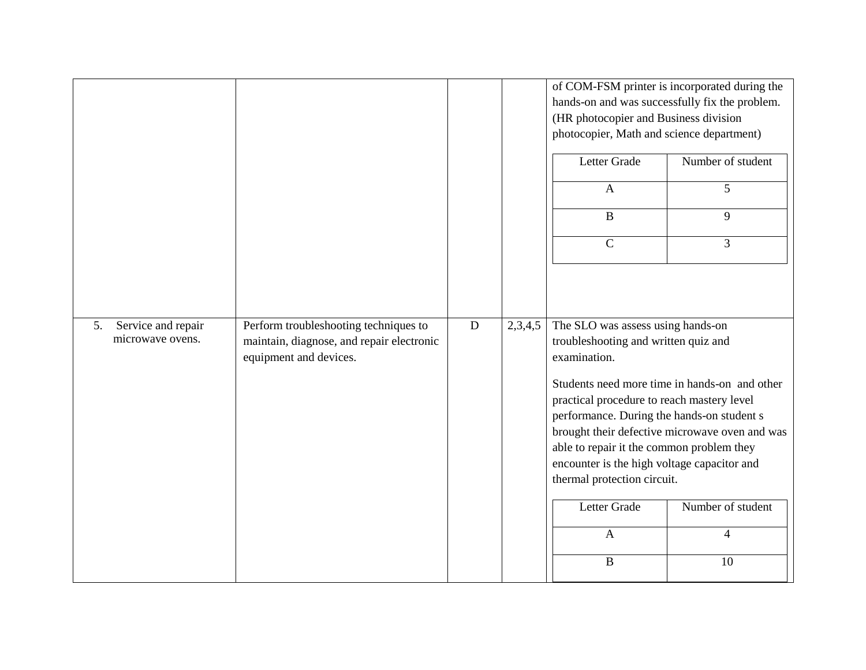|                                              |                                                                                                              |           |         | of COM-FSM printer is incorporated during the<br>hands-on and was successfully fix the problem.<br>(HR photocopier and Business division<br>photocopier, Math and science department)                                                                                                                                                                                                                                                                    |                   |  |
|----------------------------------------------|--------------------------------------------------------------------------------------------------------------|-----------|---------|----------------------------------------------------------------------------------------------------------------------------------------------------------------------------------------------------------------------------------------------------------------------------------------------------------------------------------------------------------------------------------------------------------------------------------------------------------|-------------------|--|
|                                              |                                                                                                              |           |         | Letter Grade                                                                                                                                                                                                                                                                                                                                                                                                                                             | Number of student |  |
|                                              |                                                                                                              |           |         | $\mathbf{A}$                                                                                                                                                                                                                                                                                                                                                                                                                                             | $\overline{5}$    |  |
|                                              |                                                                                                              |           |         | $\, {\bf B}$                                                                                                                                                                                                                                                                                                                                                                                                                                             | 9                 |  |
|                                              |                                                                                                              |           |         | $\mathbf C$                                                                                                                                                                                                                                                                                                                                                                                                                                              | 3                 |  |
|                                              |                                                                                                              |           |         |                                                                                                                                                                                                                                                                                                                                                                                                                                                          |                   |  |
|                                              |                                                                                                              |           |         |                                                                                                                                                                                                                                                                                                                                                                                                                                                          |                   |  |
| 5.<br>Service and repair<br>microwave ovens. | Perform troubleshooting techniques to<br>maintain, diagnose, and repair electronic<br>equipment and devices. | ${\bf D}$ | 2,3,4,5 | The SLO was assess using hands-on<br>troubleshooting and written quiz and<br>examination.<br>Students need more time in hands-on and other<br>practical procedure to reach mastery level<br>performance. During the hands-on student s<br>brought their defective microwave oven and was<br>able to repair it the common problem they<br>encounter is the high voltage capacitor and<br>thermal protection circuit.<br>Letter Grade<br>Number of student |                   |  |
|                                              |                                                                                                              |           |         |                                                                                                                                                                                                                                                                                                                                                                                                                                                          |                   |  |
|                                              |                                                                                                              |           |         | $\mathbf{A}$                                                                                                                                                                                                                                                                                                                                                                                                                                             | $\overline{4}$    |  |
|                                              |                                                                                                              |           |         | $\, {\bf B}$                                                                                                                                                                                                                                                                                                                                                                                                                                             | 10                |  |